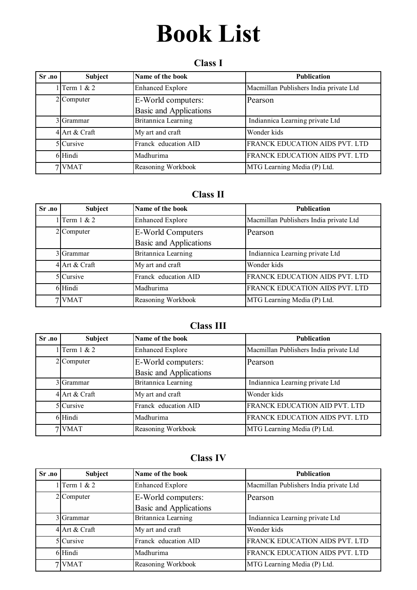# **Book List**

# **Class I**

| Sr.no | <b>Subject</b>  | Name of the book                             | <b>Publication</b>                     |
|-------|-----------------|----------------------------------------------|----------------------------------------|
|       | 1 Term $1 \& 2$ | <b>Enhanced Explore</b>                      | Macmillan Publishers India private Ltd |
|       | $2$ Computer    | E-World computers:<br>Basic and Applications | Pearson                                |
|       | 3 Grammar       | <b>Britannica Learning</b>                   | Indiannica Learning private Ltd        |
|       | 4 Art & Craft   | My art and craft                             | Wonder kids                            |
|       | $5$ Cursive     | Franck education AID                         | FRANCK EDUCATION AIDS PVT. LTD         |
|       | 6 Hindi         | Madhurima                                    | FRANCK EDUCATION AIDS PVT. LTD         |
|       | / VMAT          | Reasoning Workbook                           | MTG Learning Media (P) Ltd.            |

## **Class II**

| Sr.no | <b>Subject</b>   | Name of the book              | <b>Publication</b>                     |
|-------|------------------|-------------------------------|----------------------------------------|
|       | $1$ Term $1 & 2$ | <b>Enhanced Explore</b>       | Macmillan Publishers India private Ltd |
|       | 2 Computer       | E-World Computers             | Pearson                                |
|       |                  | <b>Basic and Applications</b> |                                        |
|       | 3 Grammar        | Britannica Learning           | Indiannica Learning private Ltd        |
|       | 4 Art & Craft    | My art and craft              | Wonder kids                            |
|       | 5 Cursive        | Franck education AID          | FRANCK EDUCATION AIDS PVT. LTD         |
|       | 6 Hindi          | Madhurima                     | FRANCK EDUCATION AIDS PVT. LTD         |
|       | 7 VMAT           | Reasoning Workbook            | MTG Learning Media (P) Ltd.            |

## **Class III**

| $Sr.0$ . | Subject         | Name of the book              | <b>Publication</b>                     |
|----------|-----------------|-------------------------------|----------------------------------------|
|          | 1 Term $1 \& 2$ | <b>Enhanced Explore</b>       | Macmillan Publishers India private Ltd |
|          | 2 Computer      | E-World computers:            | Pearson                                |
|          |                 | <b>Basic and Applications</b> |                                        |
|          | 3 Grammar       | Britannica Learning           | Indiannica Learning private Ltd        |
|          | 4 Art & Craft   | My art and craft              | Wonder kids                            |
|          | $5$ Cursive     | Franck education AID          | FRANCK EDUCATION AID PVT. LTD          |
|          | 6 Hindi         | Madhurima                     | FRANCK EDUCATION AIDS PVT. LTD         |
|          | 7 VMAT          | Reasoning Workbook            | MTG Learning Media (P) Ltd.            |

# **Class IV**

| Sr <sub>.10</sub> | Subject       | Name of the book              | <b>Publication</b>                     |
|-------------------|---------------|-------------------------------|----------------------------------------|
|                   | Term 1 & 2    | <b>Enhanced Explore</b>       | Macmillan Publishers India private Ltd |
|                   | $2$ Computer  | E-World computers:            | Pearson                                |
|                   |               | <b>Basic and Applications</b> |                                        |
|                   | 3 Grammar     | Britannica Learning           | Indiannica Learning private Ltd        |
|                   | 4 Art & Craft | My art and craft              | Wonder kids                            |
|                   | 5 Cursive     | Franck education AID          | FRANCK EDUCATION AIDS PVT. LTD         |
|                   | 6 Hindi       | Madhurima                     | FRANCK EDUCATION AIDS PVT. LTD         |
|                   | 7 VMAT        | Reasoning Workbook            | MTG Learning Media (P) Ltd.            |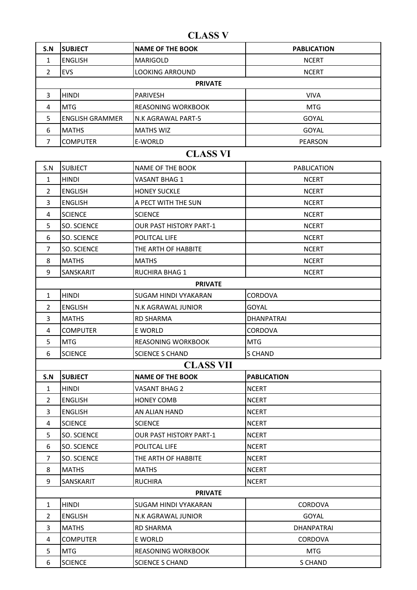**CLASS V**

| S.N            | <b>SUBJECT</b>         | <b>NAME OF THE BOOK</b>        | <b>PABLICATION</b> |
|----------------|------------------------|--------------------------------|--------------------|
| 1              | <b>ENGLISH</b>         | <b>MARIGOLD</b>                | <b>NCERT</b>       |
| $\overline{2}$ | EVS                    | <b>LOOKING ARROUND</b>         | <b>NCERT</b>       |
|                |                        | <b>PRIVATE</b>                 |                    |
| 3              | <b>HINDI</b>           | <b>PARIVESH</b>                | <b>VIVA</b>        |
| 4              | <b>MTG</b>             | <b>REASONING WORKBOOK</b>      | <b>MTG</b>         |
| 5              | <b>ENGLISH GRAMMER</b> | N.K AGRAWAL PART-5             | GOYAL              |
| 6              | <b>MATHS</b>           | <b>MATHS WIZ</b>               | GOYAL              |
| $\overline{7}$ | <b>COMPUTER</b>        | E-WORLD                        | <b>PEARSON</b>     |
|                |                        | <b>CLASS VI</b>                |                    |
| S.N            | <b>SUBJECT</b>         | NAME OF THE BOOK               | <b>PABLICATION</b> |
| $\mathbf{1}$   | <b>HINDI</b>           | <b>VASANT BHAG 1</b>           | <b>NCERT</b>       |
| $\overline{2}$ | <b>ENGLISH</b>         | <b>HONEY SUCKLE</b>            | <b>NCERT</b>       |
| 3              | <b>ENGLISH</b>         | A PECT WITH THE SUN            | <b>NCERT</b>       |
| 4              | <b>SCIENCE</b>         | <b>SCIENCE</b>                 | <b>NCERT</b>       |
| 5              | SO. SCIENCE            | <b>OUR PAST HISTORY PART-1</b> | <b>NCERT</b>       |
| 6              | SO. SCIENCE            | POLITCAL LIFE                  | <b>NCERT</b>       |
| $\overline{7}$ | SO. SCIENCE            | THE ARTH OF HABBITE            | <b>NCERT</b>       |
| 8              | <b>MATHS</b>           | <b>MATHS</b>                   | <b>NCERT</b>       |
| 9              | SANSKARIT              | RUCHIRA BHAG 1                 | <b>NCERT</b>       |
|                |                        | <b>PRIVATE</b>                 |                    |
| $\mathbf{1}$   | <b>HINDI</b>           | <b>SUGAM HINDI VYAKARAN</b>    | CORDOVA            |
| 2              | <b>ENGLISH</b>         | N.K AGRAWAL JUNIOR             | GOYAL              |
| 3              | <b>MATHS</b>           | <b>RD SHARMA</b>               | <b>DHANPATRAI</b>  |
| 4              | <b>COMPUTER</b>        | E WORLD                        | <b>CORDOVA</b>     |
| 5              | <b>MTG</b>             | <b>REASONING WORKBOOK</b>      | <b>MTG</b>         |
| 6              | <b>SCIENCE</b>         | <b>SCIENCE S CHAND</b>         | S CHAND            |
|                |                        | <b>CLASS VII</b>               |                    |
| S.N            | <b>SUBJECT</b>         | <b>NAME OF THE BOOK</b>        | <b>PABLICATION</b> |
| 1              | <b>HINDI</b>           | <b>VASANT BHAG 2</b>           | <b>NCERT</b>       |
| $\overline{2}$ | ENGLISH                | <b>HONEY COMB</b>              | <b>NCERT</b>       |
| 3              | <b>ENGLISH</b>         | AN ALIAN HAND                  | <b>NCERT</b>       |
| 4              | <b>SCIENCE</b>         | <b>SCIENCE</b>                 | <b>NCERT</b>       |
| 5              | SO. SCIENCE            | <b>OUR PAST HISTORY PART-1</b> | <b>NCERT</b>       |
| 6              | SO. SCIENCE            | POLITCAL LIFE                  | <b>NCERT</b>       |
| $\overline{7}$ | SO. SCIENCE            | THE ARTH OF HABBITE            | <b>NCERT</b>       |
| 8              | <b>MATHS</b>           | <b>MATHS</b>                   | <b>NCERT</b>       |
| 9              | SANSKARIT              | <b>RUCHIRA</b>                 | <b>NCERT</b>       |
|                |                        | <b>PRIVATE</b>                 |                    |
| $\mathbf{1}$   | <b>HINDI</b>           | SUGAM HINDI VYAKARAN           | <b>CORDOVA</b>     |
| $\overline{2}$ | <b>ENGLISH</b>         | N.K AGRAWAL JUNIOR             | <b>GOYAL</b>       |
| 3              | <b>MATHS</b>           | <b>RD SHARMA</b>               | <b>DHANPATRAI</b>  |
| 4              | <b>COMPUTER</b>        | E WORLD                        | <b>CORDOVA</b>     |
| 5              | <b>MTG</b>             | REASONING WORKBOOK             | <b>MTG</b>         |
| 6              | <b>SCIENCE</b>         | <b>SCIENCE S CHAND</b>         | <b>S CHAND</b>     |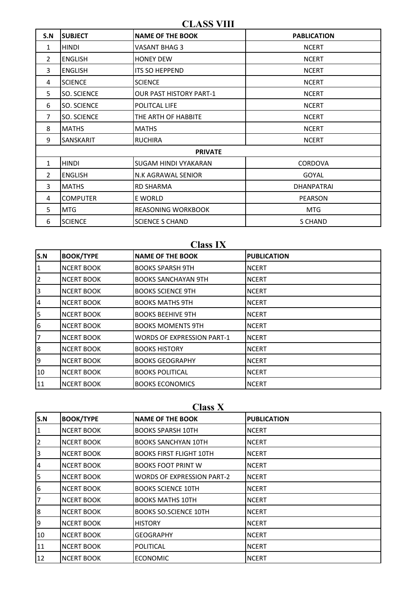**CLASS VIII**

| S.N          | <b>SUBJECT</b>     | <b>NAME OF THE BOOK</b>        | <b>PABLICATION</b> |  |
|--------------|--------------------|--------------------------------|--------------------|--|
| 1            | <b>HINDI</b>       | VASANT BHAG 3                  | <b>NCERT</b>       |  |
| 2            | <b>ENGLISH</b>     | <b>HONEY DEW</b>               | <b>NCERT</b>       |  |
| 3            | <b>ENGLISH</b>     | <b>ITS SO HEPPEND</b>          | <b>NCERT</b>       |  |
| 4            | <b>SCIENCE</b>     | <b>SCIENCE</b>                 | <b>NCERT</b>       |  |
| 5            | SO. SCIENCE        | <b>OUR PAST HISTORY PART-1</b> | <b>NCERT</b>       |  |
| 6            | <b>SO. SCIENCE</b> | POLITCAL LIFE                  | <b>NCERT</b>       |  |
| 7            | <b>SO. SCIENCE</b> | THE ARTH OF HABBITE            | <b>NCERT</b>       |  |
| 8            | <b>MATHS</b>       | <b>MATHS</b>                   | <b>NCERT</b>       |  |
| 9            | <b>SANSKARIT</b>   | <b>RUCHIRA</b>                 | <b>NCERT</b>       |  |
|              | <b>PRIVATE</b>     |                                |                    |  |
| $\mathbf{1}$ | <b>HINDI</b>       | SUGAM HINDI VYAKARAN           | <b>CORDOVA</b>     |  |
| 2            | <b>ENGLISH</b>     | N.K AGRAWAL SENIOR             | GOYAL              |  |
| 3            | <b>MATHS</b>       | <b>RD SHARMA</b>               | <b>DHANPATRAI</b>  |  |
| 4            | <b>COMPUTER</b>    | E WORLD                        | <b>PEARSON</b>     |  |
| 5            | <b>MTG</b>         | <b>REASONING WORKBOOK</b>      | <b>MTG</b>         |  |
| 6            | <b>SCIENCE</b>     | <b>SCIENCE S CHAND</b>         | S CHAND            |  |

#### **Class IX**

| S.N            | <b>BOOK/TYPE</b>  | <b>NAME OF THE BOOK</b>           | <b>PUBLICATION</b> |
|----------------|-------------------|-----------------------------------|--------------------|
| 1              | <b>NCERT BOOK</b> | <b>BOOKS SPARSH 9TH</b>           | <b>NCERT</b>       |
| $\overline{2}$ | <b>NCERT BOOK</b> | <b>BOOKS SANCHAYAN 9TH</b>        | <b>NCERT</b>       |
| 3              | <b>NCERT BOOK</b> | <b>BOOKS SCIENCE 9TH</b>          | <b>NCERT</b>       |
| 4              | <b>NCERT BOOK</b> | <b>BOOKS MATHS 9TH</b>            | <b>NCERT</b>       |
| 5              | <b>NCERT BOOK</b> | <b>BOOKS BEEHIVE 9TH</b>          | <b>NCERT</b>       |
| 6              | <b>NCERT BOOK</b> | <b>BOOKS MOMENTS 9TH</b>          | <b>NCERT</b>       |
| 17             | <b>NCERT BOOK</b> | <b>WORDS OF EXPRESSION PART-1</b> | <b>NCERT</b>       |
| 8              | <b>NCERT BOOK</b> | <b>BOOKS HISTORY</b>              | <b>NCERT</b>       |
| 9              | <b>NCERT BOOK</b> | <b>BOOKS GEOGRAPHY</b>            | <b>NCERT</b>       |
| 10             | <b>NCERT BOOK</b> | <b>BOOKS POLITICAL</b>            | <b>NCERT</b>       |
| 11             | <b>NCERT BOOK</b> | <b>BOOKS ECONOMICS</b>            | <b>NCERT</b>       |

# **Class X**

| S.N            | <b>BOOK/TYPE</b>  | <b>NAME OF THE BOOK</b>           | <b>PUBLICATION</b> |
|----------------|-------------------|-----------------------------------|--------------------|
| 1              | <b>NCERT BOOK</b> | <b>BOOKS SPARSH 10TH</b>          | <b>NCERT</b>       |
| $\overline{2}$ | <b>NCERT BOOK</b> | <b>BOOKS SANCHYAN 10TH</b>        | <b>NCERT</b>       |
| 3              | <b>NCERT BOOK</b> | <b>BOOKS FIRST FLIGHT 10TH</b>    | <b>NCERT</b>       |
| 4              | <b>NCERT BOOK</b> | <b>BOOKS FOOT PRINT W</b>         | <b>NCERT</b>       |
| 5              | <b>NCERT BOOK</b> | <b>WORDS OF EXPRESSION PART-2</b> | <b>NCERT</b>       |
| 6              | <b>NCERT BOOK</b> | <b>BOOKS SCIENCE 10TH</b>         | <b>NCERT</b>       |
| 7              | <b>NCERT BOOK</b> | <b>BOOKS MATHS 10TH</b>           | <b>NCERT</b>       |
| 8              | <b>NCERT BOOK</b> | <b>BOOKS SO.SCIENCE 10TH</b>      | <b>NCERT</b>       |
| 9              | <b>NCERT BOOK</b> | <b>HISTORY</b>                    | <b>NCERT</b>       |
| 10             | <b>NCERT BOOK</b> | <b>GEOGRAPHY</b>                  | <b>NCERT</b>       |
| 11             | <b>NCERT BOOK</b> | POLITICAL                         | <b>NCERT</b>       |
| 12             | <b>NCERT BOOK</b> | <b>ECONOMIC</b>                   | <b>NCERT</b>       |